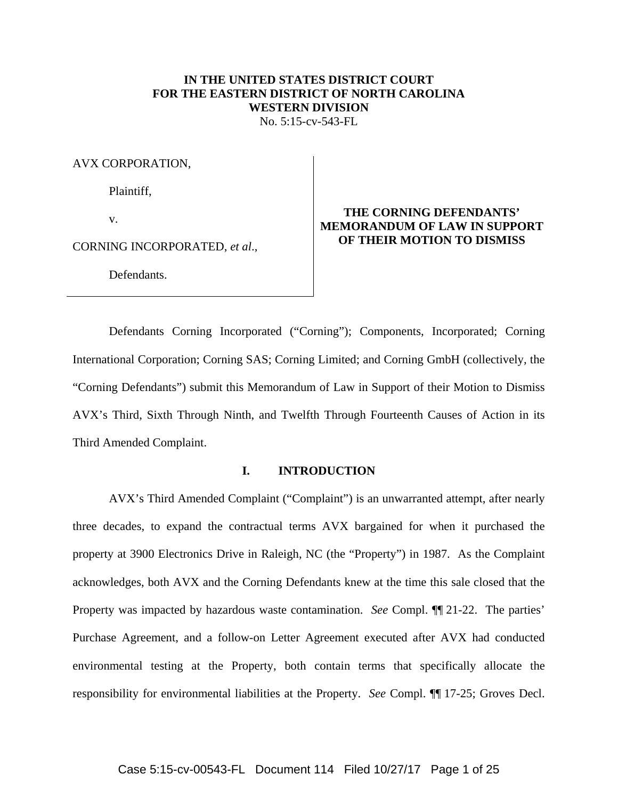# **IN THE UNITED STATES DISTRICT COURT FOR THE EASTERN DISTRICT OF NORTH CAROLINA WESTERN DIVISION**

No. 5:15-cv-543-FL

AVX CORPORATION,

Plaintiff,

v.

CORNING INCORPORATED, *et al*.,

Defendants.

# **THE CORNING DEFENDANTS' MEMORANDUM OF LAW IN SUPPORT OF THEIR MOTION TO DISMISS**

 Defendants Corning Incorporated ("Corning"); Components, Incorporated; Corning International Corporation; Corning SAS; Corning Limited; and Corning GmbH (collectively, the "Corning Defendants") submit this Memorandum of Law in Support of their Motion to Dismiss AVX's Third, Sixth Through Ninth, and Twelfth Through Fourteenth Causes of Action in its Third Amended Complaint.

#### **I. INTRODUCTION**

AVX's Third Amended Complaint ("Complaint") is an unwarranted attempt, after nearly three decades, to expand the contractual terms AVX bargained for when it purchased the property at 3900 Electronics Drive in Raleigh, NC (the "Property") in 1987. As the Complaint acknowledges, both AVX and the Corning Defendants knew at the time this sale closed that the Property was impacted by hazardous waste contamination. *See* Compl. ¶¶ 21-22. The parties' Purchase Agreement, and a follow-on Letter Agreement executed after AVX had conducted environmental testing at the Property, both contain terms that specifically allocate the responsibility for environmental liabilities at the Property. *See* Compl. ¶¶ 17-25; Groves Decl.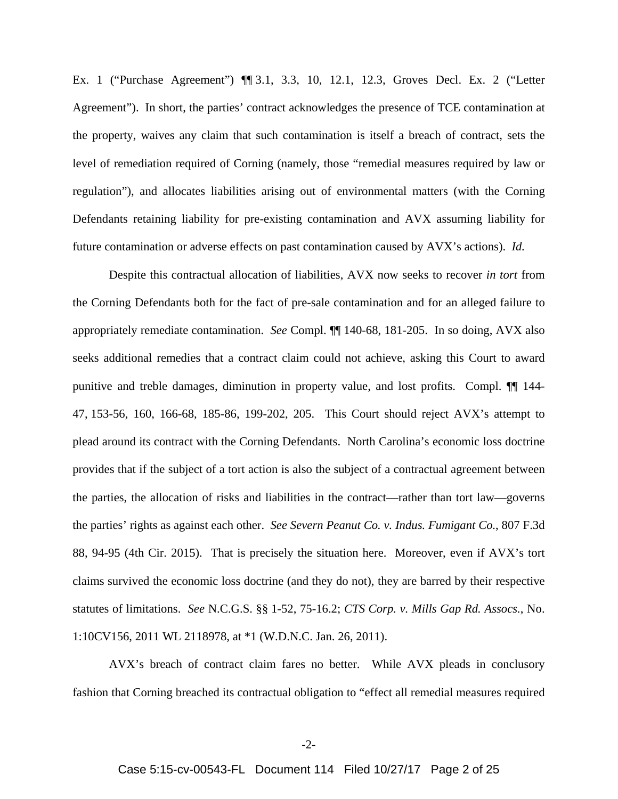Ex. 1 ("Purchase Agreement") ¶¶ 3.1, 3.3, 10, 12.1, 12.3, Groves Decl. Ex. 2 ("Letter Agreement"). In short, the parties' contract acknowledges the presence of TCE contamination at the property, waives any claim that such contamination is itself a breach of contract, sets the level of remediation required of Corning (namely, those "remedial measures required by law or regulation"), and allocates liabilities arising out of environmental matters (with the Corning Defendants retaining liability for pre-existing contamination and AVX assuming liability for future contamination or adverse effects on past contamination caused by AVX's actions). *Id.*

Despite this contractual allocation of liabilities, AVX now seeks to recover *in tort* from the Corning Defendants both for the fact of pre-sale contamination and for an alleged failure to appropriately remediate contamination. *See* Compl. ¶¶ 140-68, 181-205. In so doing, AVX also seeks additional remedies that a contract claim could not achieve, asking this Court to award punitive and treble damages, diminution in property value, and lost profits. Compl. ¶¶ 144- 47, 153-56, 160, 166-68, 185-86, 199-202, 205. This Court should reject AVX's attempt to plead around its contract with the Corning Defendants. North Carolina's economic loss doctrine provides that if the subject of a tort action is also the subject of a contractual agreement between the parties, the allocation of risks and liabilities in the contract—rather than tort law—governs the parties' rights as against each other. *See Severn Peanut Co. v. Indus. Fumigant Co.*, 807 F.3d 88, 94-95 (4th Cir. 2015). That is precisely the situation here. Moreover, even if AVX's tort claims survived the economic loss doctrine (and they do not), they are barred by their respective statutes of limitations. *See* N.C.G.S. §§ 1-52, 75-16.2; *CTS Corp. v. Mills Gap Rd. Assocs.*, No. 1:10CV156, 2011 WL 2118978, at \*1 (W.D.N.C. Jan. 26, 2011).

AVX's breach of contract claim fares no better. While AVX pleads in conclusory fashion that Corning breached its contractual obligation to "effect all remedial measures required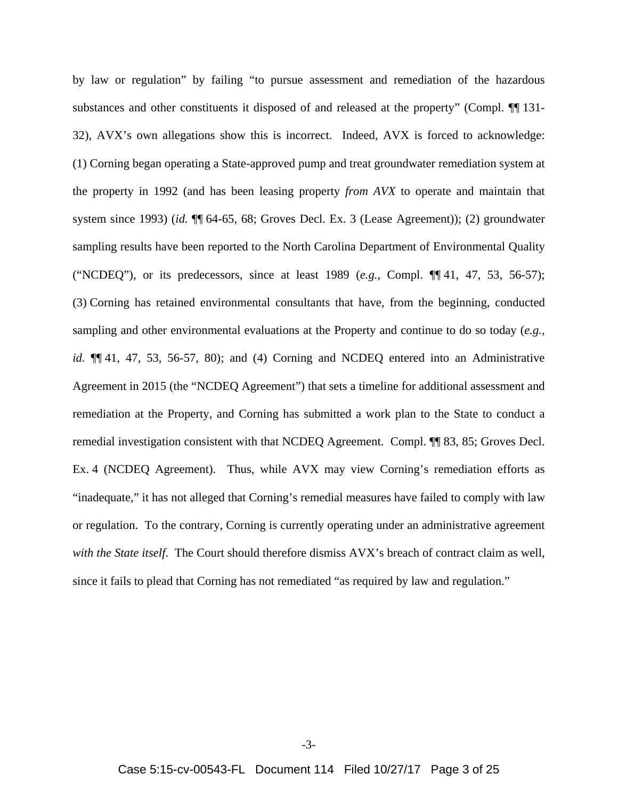by law or regulation" by failing "to pursue assessment and remediation of the hazardous substances and other constituents it disposed of and released at the property" (Compl.  $\P$  131-32), AVX's own allegations show this is incorrect. Indeed, AVX is forced to acknowledge: (1) Corning began operating a State-approved pump and treat groundwater remediation system at the property in 1992 (and has been leasing property *from AVX* to operate and maintain that system since 1993) (*id.* ¶¶ 64-65, 68; Groves Decl. Ex. 3 (Lease Agreement)); (2) groundwater sampling results have been reported to the North Carolina Department of Environmental Quality ("NCDEQ"), or its predecessors, since at least 1989 (*e.g.*, Compl. ¶¶ 41, 47, 53, 56-57); (3) Corning has retained environmental consultants that have, from the beginning, conducted sampling and other environmental evaluations at the Property and continue to do so today (*e.g.*, *id.* ¶¶ 41, 47, 53, 56-57, 80); and (4) Corning and NCDEQ entered into an Administrative Agreement in 2015 (the "NCDEQ Agreement") that sets a timeline for additional assessment and remediation at the Property, and Corning has submitted a work plan to the State to conduct a remedial investigation consistent with that NCDEQ Agreement. Compl. ¶¶ 83, 85; Groves Decl. Ex. 4 (NCDEQ Agreement). Thus, while AVX may view Corning's remediation efforts as "inadequate," it has not alleged that Corning's remedial measures have failed to comply with law or regulation. To the contrary, Corning is currently operating under an administrative agreement *with the State itself*. The Court should therefore dismiss AVX's breach of contract claim as well, since it fails to plead that Corning has not remediated "as required by law and regulation."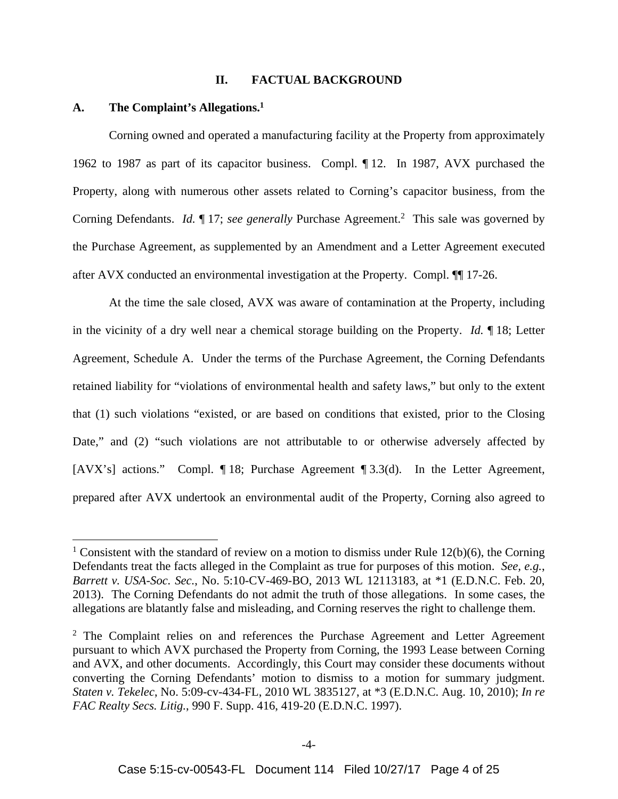#### **II. FACTUAL BACKGROUND**

## **A. The Complaint's Allegations.1**

 $\overline{a}$ 

Corning owned and operated a manufacturing facility at the Property from approximately 1962 to 1987 as part of its capacitor business. Compl. ¶ 12. In 1987, AVX purchased the Property, along with numerous other assets related to Corning's capacitor business, from the Corning Defendants. *Id.* 17; *see generally* Purchase Agreement.<sup>2</sup> This sale was governed by the Purchase Agreement, as supplemented by an Amendment and a Letter Agreement executed after AVX conducted an environmental investigation at the Property. Compl. ¶¶ 17-26.

At the time the sale closed, AVX was aware of contamination at the Property, including in the vicinity of a dry well near a chemical storage building on the Property. *Id.* ¶ 18; Letter Agreement, Schedule A. Under the terms of the Purchase Agreement, the Corning Defendants retained liability for "violations of environmental health and safety laws," but only to the extent that (1) such violations "existed, or are based on conditions that existed, prior to the Closing Date," and (2) "such violations are not attributable to or otherwise adversely affected by [AVX's] actions." Compl. 18; Purchase Agreement 13.3(d). In the Letter Agreement, prepared after AVX undertook an environmental audit of the Property, Corning also agreed to

<sup>&</sup>lt;sup>1</sup> Consistent with the standard of review on a motion to dismiss under Rule  $12(b)(6)$ , the Corning Defendants treat the facts alleged in the Complaint as true for purposes of this motion. *See, e.g.*, *Barrett v. USA-Soc. Sec.*, No. 5:10-CV-469-BO, 2013 WL 12113183, at \*1 (E.D.N.C. Feb. 20, 2013). The Corning Defendants do not admit the truth of those allegations. In some cases, the allegations are blatantly false and misleading, and Corning reserves the right to challenge them.

<sup>&</sup>lt;sup>2</sup> The Complaint relies on and references the Purchase Agreement and Letter Agreement pursuant to which AVX purchased the Property from Corning, the 1993 Lease between Corning and AVX, and other documents. Accordingly, this Court may consider these documents without converting the Corning Defendants' motion to dismiss to a motion for summary judgment. *Staten v. Tekelec*, No. 5:09-cv-434-FL, 2010 WL 3835127, at \*3 (E.D.N.C. Aug. 10, 2010); *In re FAC Realty Secs. Litig.*, 990 F. Supp. 416, 419-20 (E.D.N.C. 1997).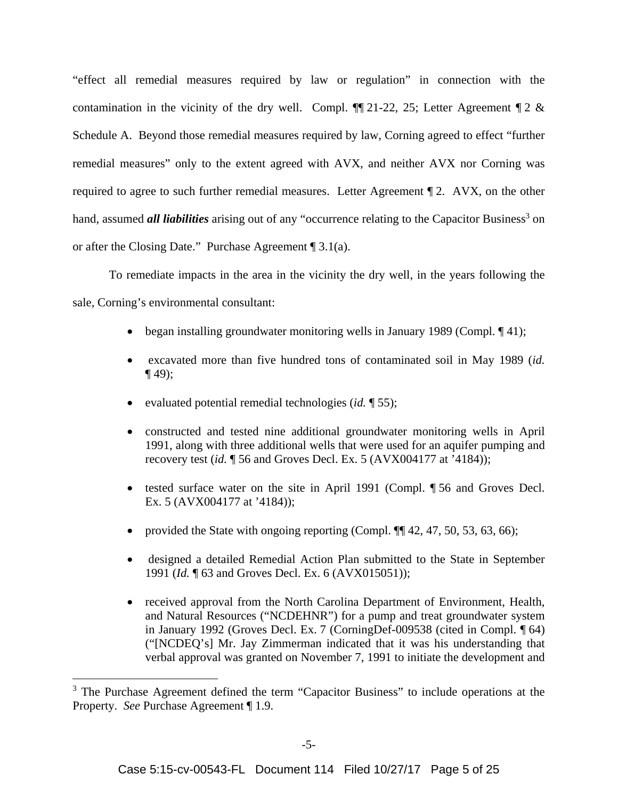"effect all remedial measures required by law or regulation" in connection with the contamination in the vicinity of the dry well. Compl.  $\P$ [121-22, 25; Letter Agreement  $\P$ 2 & Schedule A. Beyond those remedial measures required by law, Corning agreed to effect "further remedial measures" only to the extent agreed with AVX, and neither AVX nor Corning was required to agree to such further remedial measures. Letter Agreement ¶ 2. AVX, on the other hand, assumed *all liabilities* arising out of any "occurrence relating to the Capacitor Business<sup>3</sup> on or after the Closing Date." Purchase Agreement ¶ 3.1(a).

To remediate impacts in the area in the vicinity the dry well, in the years following the sale, Corning's environmental consultant:

- began installing groundwater monitoring wells in January 1989 (Compl.  $\P$  41);
- excavated more than five hundred tons of contaminated soil in May 1989 (*id.*   $\P$  49);
- evaluated potential remedial technologies (*id.* ¶ 55);
- constructed and tested nine additional groundwater monitoring wells in April 1991, along with three additional wells that were used for an aquifer pumping and recovery test (*id.* ¶ 56 and Groves Decl. Ex. 5 (AVX004177 at '4184));
- tested surface water on the site in April 1991 (Compl. ¶ 56 and Groves Decl. Ex. 5 (AVX004177 at '4184));
- provided the State with ongoing reporting (Compl.  $\P$  $[42, 47, 50, 53, 63, 66)$ ;
- designed a detailed Remedial Action Plan submitted to the State in September 1991 (*Id.* ¶ 63 and Groves Decl. Ex. 6 (AVX015051));
- received approval from the North Carolina Department of Environment, Health, and Natural Resources ("NCDEHNR") for a pump and treat groundwater system in January 1992 (Groves Decl. Ex. 7 (CorningDef-009538 (cited in Compl. ¶ 64) ("[NCDEQ's] Mr. Jay Zimmerman indicated that it was his understanding that verbal approval was granted on November 7, 1991 to initiate the development and

1

<sup>&</sup>lt;sup>3</sup> The Purchase Agreement defined the term "Capacitor Business" to include operations at the Property. *See* Purchase Agreement ¶ 1.9.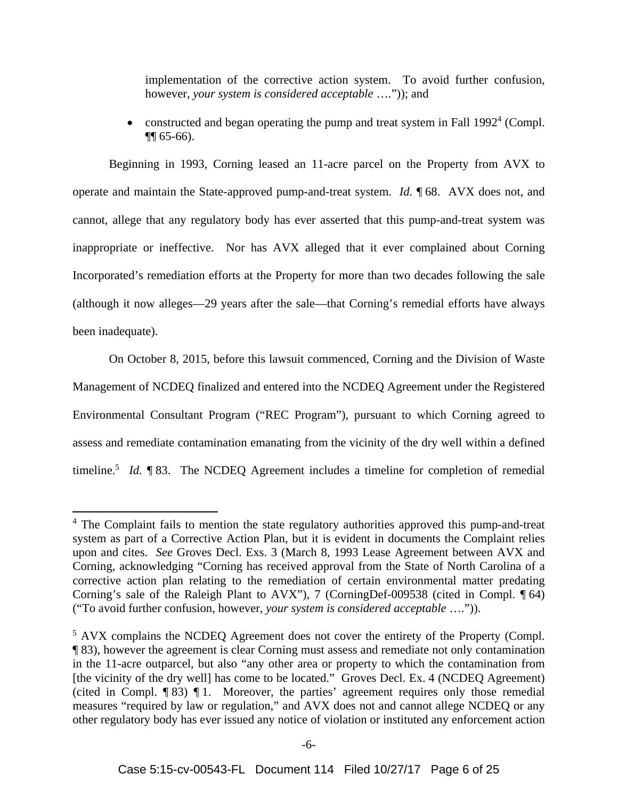implementation of the corrective action system. To avoid further confusion, however, *your system is considered acceptable* ….")); and

• constructed and began operating the pump and treat system in Fall  $1992<sup>4</sup>$  (Compl. ¶¶ 65-66).

Beginning in 1993, Corning leased an 11-acre parcel on the Property from AVX to operate and maintain the State-approved pump-and-treat system. *Id.* ¶ 68. AVX does not, and cannot, allege that any regulatory body has ever asserted that this pump-and-treat system was inappropriate or ineffective. Nor has AVX alleged that it ever complained about Corning Incorporated's remediation efforts at the Property for more than two decades following the sale (although it now alleges—29 years after the sale—that Corning's remedial efforts have always been inadequate).

On October 8, 2015, before this lawsuit commenced, Corning and the Division of Waste Management of NCDEQ finalized and entered into the NCDEQ Agreement under the Registered Environmental Consultant Program ("REC Program"), pursuant to which Corning agreed to assess and remediate contamination emanating from the vicinity of the dry well within a defined timeline.<sup>5</sup> *Id.*  $\parallel$  83. The NCDEQ Agreement includes a timeline for completion of remedial

1

<sup>&</sup>lt;sup>4</sup> The Complaint fails to mention the state regulatory authorities approved this pump-and-treat system as part of a Corrective Action Plan, but it is evident in documents the Complaint relies upon and cites. *See* Groves Decl. Exs. 3 (March 8, 1993 Lease Agreement between AVX and Corning, acknowledging "Corning has received approval from the State of North Carolina of a corrective action plan relating to the remediation of certain environmental matter predating Corning's sale of the Raleigh Plant to AVX"), 7 (CorningDef-009538 (cited in Compl. ¶ 64) ("To avoid further confusion, however, *your system is considered acceptable* ….")).

<sup>&</sup>lt;sup>5</sup> AVX complains the NCDEQ Agreement does not cover the entirety of the Property (Compl. ¶ 83), however the agreement is clear Corning must assess and remediate not only contamination in the 11-acre outparcel, but also "any other area or property to which the contamination from [the vicinity of the dry well] has come to be located." Groves Decl. Ex. 4 (NCDEQ Agreement) (cited in Compl. ¶ 83) ¶ 1. Moreover, the parties' agreement requires only those remedial measures "required by law or regulation," and AVX does not and cannot allege NCDEQ or any other regulatory body has ever issued any notice of violation or instituted any enforcement action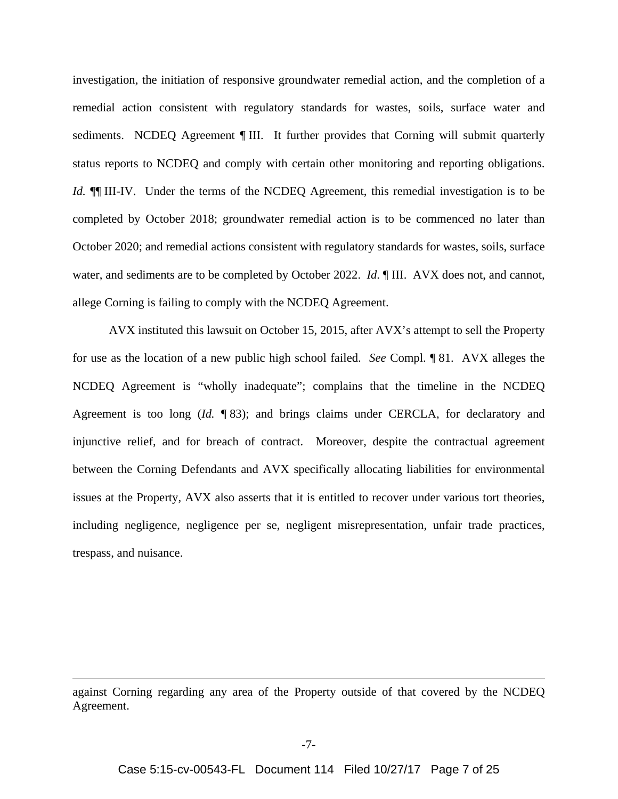investigation, the initiation of responsive groundwater remedial action, and the completion of a remedial action consistent with regulatory standards for wastes, soils, surface water and sediments. NCDEQ Agreement *[HII]*. It further provides that Corning will submit quarterly status reports to NCDEQ and comply with certain other monitoring and reporting obligations. *Id.*  $\P\P$  III-IV. Under the terms of the NCDEQ Agreement, this remedial investigation is to be completed by October 2018; groundwater remedial action is to be commenced no later than October 2020; and remedial actions consistent with regulatory standards for wastes, soils, surface water, and sediments are to be completed by October 2022. *Id*. ¶ III. AVX does not, and cannot, allege Corning is failing to comply with the NCDEQ Agreement.

AVX instituted this lawsuit on October 15, 2015, after AVX's attempt to sell the Property for use as the location of a new public high school failed. *See* Compl. ¶ 81. AVX alleges the NCDEQ Agreement is "wholly inadequate"; complains that the timeline in the NCDEQ Agreement is too long (*Id.* 183); and brings claims under CERCLA, for declaratory and injunctive relief, and for breach of contract. Moreover, despite the contractual agreement between the Corning Defendants and AVX specifically allocating liabilities for environmental issues at the Property, AVX also asserts that it is entitled to recover under various tort theories, including negligence, negligence per se, negligent misrepresentation, unfair trade practices, trespass, and nuisance.

 $\overline{a}$ 

against Corning regarding any area of the Property outside of that covered by the NCDEQ Agreement.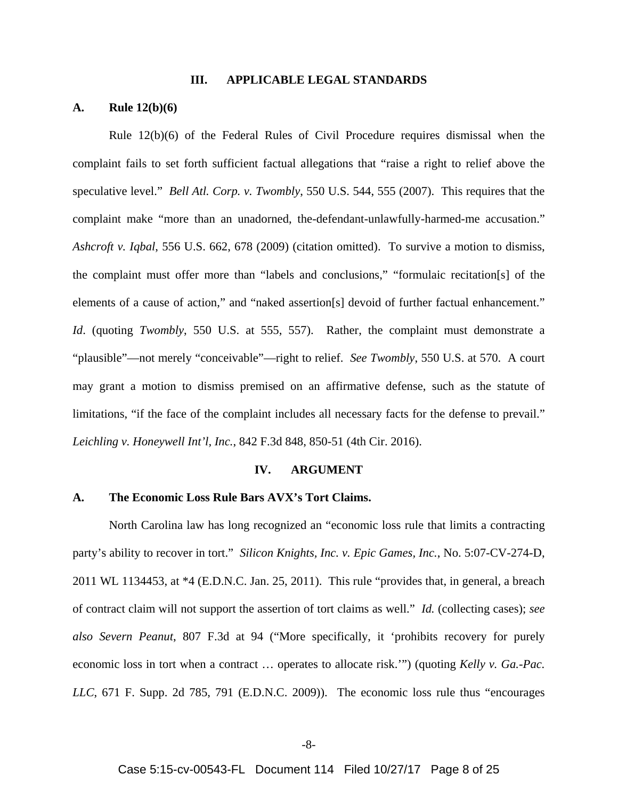#### **III. APPLICABLE LEGAL STANDARDS**

## **A. Rule 12(b)(6)**

Rule 12(b)(6) of the Federal Rules of Civil Procedure requires dismissal when the complaint fails to set forth sufficient factual allegations that "raise a right to relief above the speculative level." *Bell Atl. Corp. v. Twombly*, 550 U.S. 544, 555 (2007). This requires that the complaint make "more than an unadorned, the-defendant-unlawfully-harmed-me accusation." *Ashcroft v. Iqbal*, 556 U.S. 662, 678 (2009) (citation omitted). To survive a motion to dismiss, the complaint must offer more than "labels and conclusions," "formulaic recitation[s] of the elements of a cause of action," and "naked assertion[s] devoid of further factual enhancement." *Id*. (quoting *Twombly*, 550 U.S. at 555, 557). Rather, the complaint must demonstrate a "plausible"—not merely "conceivable"—right to relief. *See Twombly*, 550 U.S. at 570. A court may grant a motion to dismiss premised on an affirmative defense, such as the statute of limitations, "if the face of the complaint includes all necessary facts for the defense to prevail." *Leichling v. Honeywell Int'l, Inc.*, 842 F.3d 848, 850-51 (4th Cir. 2016).

#### **IV. ARGUMENT**

## **A. The Economic Loss Rule Bars AVX's Tort Claims.**

North Carolina law has long recognized an "economic loss rule that limits a contracting party's ability to recover in tort." *Silicon Knights, Inc. v. Epic Games, Inc.*, No. 5:07-CV-274-D, 2011 WL 1134453, at \*4 (E.D.N.C. Jan. 25, 2011). This rule "provides that, in general, a breach of contract claim will not support the assertion of tort claims as well." *Id.* (collecting cases); *see also Severn Peanut*, 807 F.3d at 94 ("More specifically, it 'prohibits recovery for purely economic loss in tort when a contract … operates to allocate risk.'") (quoting *Kelly v. Ga.-Pac. LLC*, 671 F. Supp. 2d 785, 791 (E.D.N.C. 2009)). The economic loss rule thus "encourages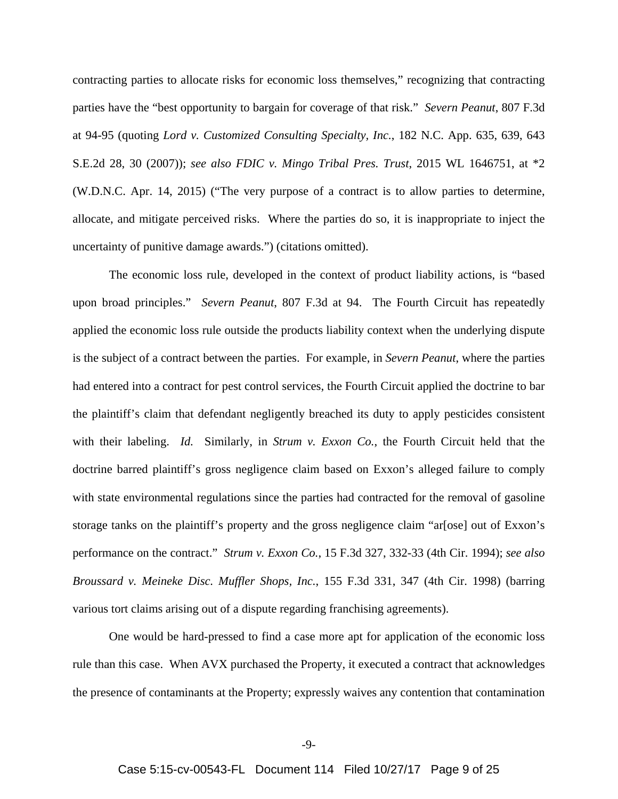contracting parties to allocate risks for economic loss themselves," recognizing that contracting parties have the "best opportunity to bargain for coverage of that risk." *Severn Peanut*, 807 F.3d at 94-95 (quoting *Lord v. Customized Consulting Specialty, Inc.*, 182 N.C. App. 635, 639, 643 S.E.2d 28, 30 (2007)); *see also FDIC v. Mingo Tribal Pres. Trust*, 2015 WL 1646751, at \*2 (W.D.N.C. Apr. 14, 2015) ("The very purpose of a contract is to allow parties to determine, allocate, and mitigate perceived risks. Where the parties do so, it is inappropriate to inject the uncertainty of punitive damage awards.") (citations omitted).

The economic loss rule, developed in the context of product liability actions, is "based upon broad principles." *Severn Peanut*, 807 F.3d at 94. The Fourth Circuit has repeatedly applied the economic loss rule outside the products liability context when the underlying dispute is the subject of a contract between the parties. For example, in *Severn Peanut*, where the parties had entered into a contract for pest control services, the Fourth Circuit applied the doctrine to bar the plaintiff's claim that defendant negligently breached its duty to apply pesticides consistent with their labeling. *Id.* Similarly, in *Strum v. Exxon Co.*, the Fourth Circuit held that the doctrine barred plaintiff's gross negligence claim based on Exxon's alleged failure to comply with state environmental regulations since the parties had contracted for the removal of gasoline storage tanks on the plaintiff's property and the gross negligence claim "ar[ose] out of Exxon's performance on the contract." *Strum v. Exxon Co.*, 15 F.3d 327, 332-33 (4th Cir. 1994); *see also Broussard v. Meineke Disc. Muffler Shops, Inc.*, 155 F.3d 331, 347 (4th Cir. 1998) (barring various tort claims arising out of a dispute regarding franchising agreements).

One would be hard-pressed to find a case more apt for application of the economic loss rule than this case. When AVX purchased the Property, it executed a contract that acknowledges the presence of contaminants at the Property; expressly waives any contention that contamination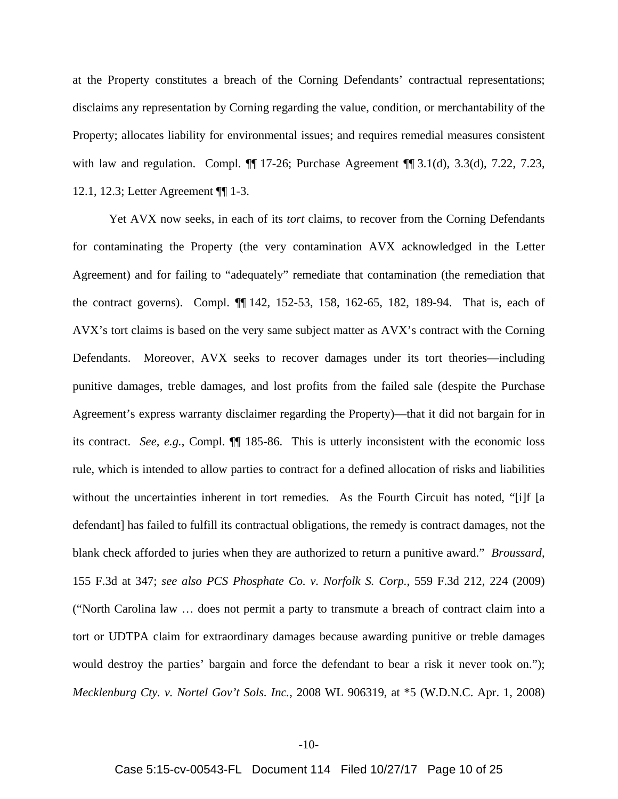at the Property constitutes a breach of the Corning Defendants' contractual representations; disclaims any representation by Corning regarding the value, condition, or merchantability of the Property; allocates liability for environmental issues; and requires remedial measures consistent with law and regulation. Compl.  $\P\P$  17-26; Purchase Agreement  $\P\P$  3.1(d), 3.3(d), 7.22, 7.23, 12.1, 12.3; Letter Agreement ¶¶ 1-3.

Yet AVX now seeks, in each of its *tort* claims, to recover from the Corning Defendants for contaminating the Property (the very contamination AVX acknowledged in the Letter Agreement) and for failing to "adequately" remediate that contamination (the remediation that the contract governs). Compl. ¶¶ 142, 152-53, 158, 162-65, 182, 189-94. That is, each of AVX's tort claims is based on the very same subject matter as AVX's contract with the Corning Defendants. Moreover, AVX seeks to recover damages under its tort theories—including punitive damages, treble damages, and lost profits from the failed sale (despite the Purchase Agreement's express warranty disclaimer regarding the Property)—that it did not bargain for in its contract. *See, e.g.*, Compl. ¶¶ 185-86. This is utterly inconsistent with the economic loss rule, which is intended to allow parties to contract for a defined allocation of risks and liabilities without the uncertainties inherent in tort remedies. As the Fourth Circuit has noted, "[i]f [a defendant] has failed to fulfill its contractual obligations, the remedy is contract damages, not the blank check afforded to juries when they are authorized to return a punitive award." *Broussard*, 155 F.3d at 347; *see also PCS Phosphate Co. v. Norfolk S. Corp.*, 559 F.3d 212, 224 (2009) ("North Carolina law … does not permit a party to transmute a breach of contract claim into a tort or UDTPA claim for extraordinary damages because awarding punitive or treble damages would destroy the parties' bargain and force the defendant to bear a risk it never took on."); *Mecklenburg Cty. v. Nortel Gov't Sols. Inc.*, 2008 WL 906319, at \*5 (W.D.N.C. Apr. 1, 2008)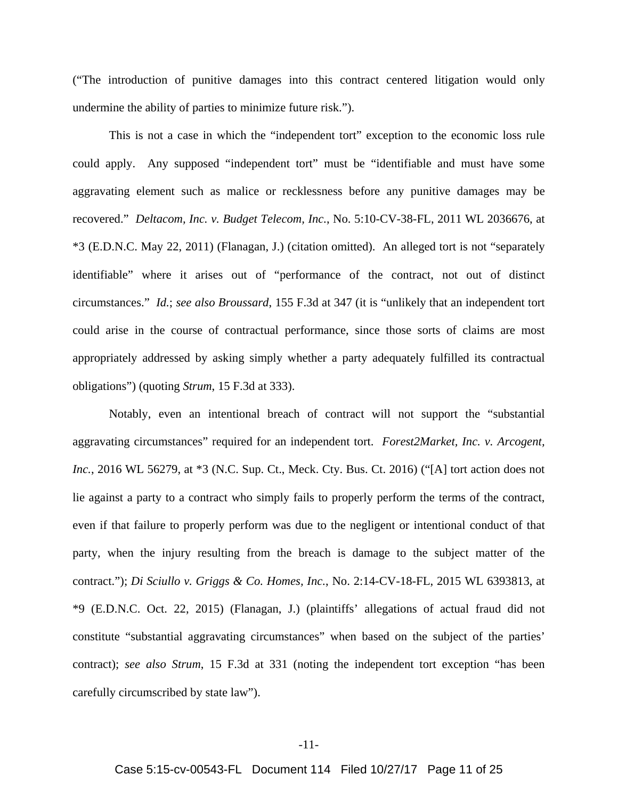("The introduction of punitive damages into this contract centered litigation would only undermine the ability of parties to minimize future risk.").

This is not a case in which the "independent tort" exception to the economic loss rule could apply. Any supposed "independent tort" must be "identifiable and must have some aggravating element such as malice or recklessness before any punitive damages may be recovered." *Deltacom, Inc. v. Budget Telecom, Inc.*, No. 5:10-CV-38-FL, 2011 WL 2036676, at \*3 (E.D.N.C. May 22, 2011) (Flanagan, J.) (citation omitted). An alleged tort is not "separately identifiable" where it arises out of "performance of the contract, not out of distinct circumstances." *Id.*; *see also Broussard*, 155 F.3d at 347 (it is "unlikely that an independent tort could arise in the course of contractual performance, since those sorts of claims are most appropriately addressed by asking simply whether a party adequately fulfilled its contractual obligations") (quoting *Strum*, 15 F.3d at 333).

Notably, even an intentional breach of contract will not support the "substantial aggravating circumstances" required for an independent tort. *Forest2Market, Inc. v. Arcogent, Inc.*, 2016 WL 56279, at \*3 (N.C. Sup. Ct., Meck. Cty. Bus. Ct. 2016) ("[A] tort action does not lie against a party to a contract who simply fails to properly perform the terms of the contract, even if that failure to properly perform was due to the negligent or intentional conduct of that party, when the injury resulting from the breach is damage to the subject matter of the contract."); *Di Sciullo v. Griggs & Co. Homes, Inc.*, No. 2:14-CV-18-FL, 2015 WL 6393813, at \*9 (E.D.N.C. Oct. 22, 2015) (Flanagan, J.) (plaintiffs' allegations of actual fraud did not constitute "substantial aggravating circumstances" when based on the subject of the parties' contract); *see also Strum*, 15 F.3d at 331 (noting the independent tort exception "has been carefully circumscribed by state law").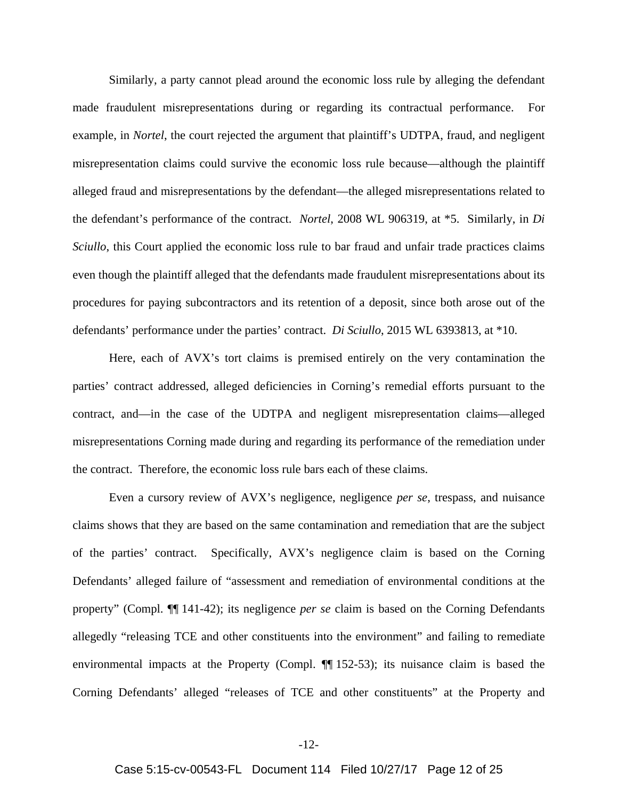Similarly, a party cannot plead around the economic loss rule by alleging the defendant made fraudulent misrepresentations during or regarding its contractual performance. For example, in *Nortel*, the court rejected the argument that plaintiff's UDTPA, fraud, and negligent misrepresentation claims could survive the economic loss rule because—although the plaintiff alleged fraud and misrepresentations by the defendant—the alleged misrepresentations related to the defendant's performance of the contract. *Nortel*, 2008 WL 906319, at \*5. Similarly, in *Di Sciullo*, this Court applied the economic loss rule to bar fraud and unfair trade practices claims even though the plaintiff alleged that the defendants made fraudulent misrepresentations about its procedures for paying subcontractors and its retention of a deposit, since both arose out of the defendants' performance under the parties' contract. *Di Sciullo*, 2015 WL 6393813, at \*10.

Here, each of AVX's tort claims is premised entirely on the very contamination the parties' contract addressed, alleged deficiencies in Corning's remedial efforts pursuant to the contract, and—in the case of the UDTPA and negligent misrepresentation claims—alleged misrepresentations Corning made during and regarding its performance of the remediation under the contract. Therefore, the economic loss rule bars each of these claims.

Even a cursory review of AVX's negligence, negligence *per se*, trespass, and nuisance claims shows that they are based on the same contamination and remediation that are the subject of the parties' contract. Specifically, AVX's negligence claim is based on the Corning Defendants' alleged failure of "assessment and remediation of environmental conditions at the property" (Compl. ¶¶ 141-42); its negligence *per se* claim is based on the Corning Defendants allegedly "releasing TCE and other constituents into the environment" and failing to remediate environmental impacts at the Property (Compl. ¶¶ 152-53); its nuisance claim is based the Corning Defendants' alleged "releases of TCE and other constituents" at the Property and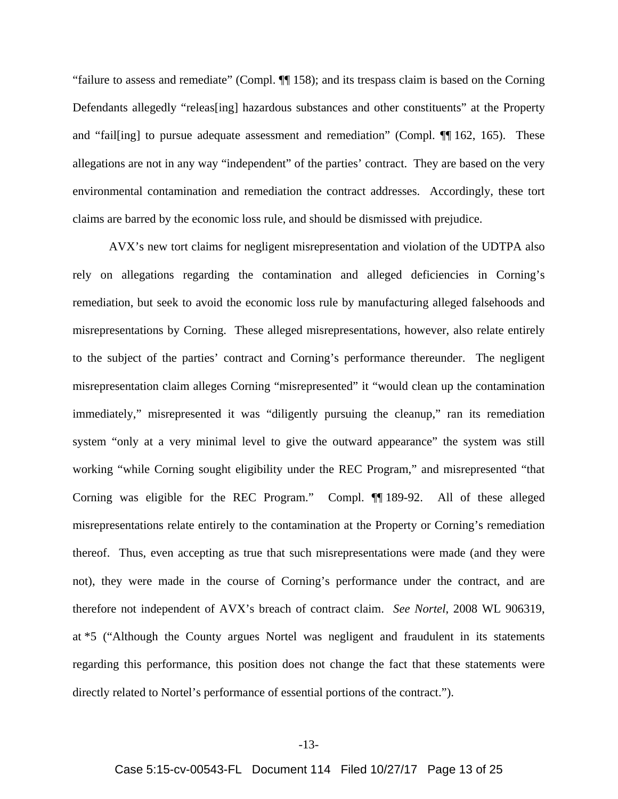"failure to assess and remediate" (Compl. ¶¶ 158); and its trespass claim is based on the Corning Defendants allegedly "releas[ing] hazardous substances and other constituents" at the Property and "fail[ing] to pursue adequate assessment and remediation" (Compl. ¶¶ 162, 165). These allegations are not in any way "independent" of the parties' contract. They are based on the very environmental contamination and remediation the contract addresses. Accordingly, these tort claims are barred by the economic loss rule, and should be dismissed with prejudice.

AVX's new tort claims for negligent misrepresentation and violation of the UDTPA also rely on allegations regarding the contamination and alleged deficiencies in Corning's remediation, but seek to avoid the economic loss rule by manufacturing alleged falsehoods and misrepresentations by Corning. These alleged misrepresentations, however, also relate entirely to the subject of the parties' contract and Corning's performance thereunder. The negligent misrepresentation claim alleges Corning "misrepresented" it "would clean up the contamination immediately," misrepresented it was "diligently pursuing the cleanup," ran its remediation system "only at a very minimal level to give the outward appearance" the system was still working "while Corning sought eligibility under the REC Program," and misrepresented "that Corning was eligible for the REC Program." Compl. ¶¶ 189-92. All of these alleged misrepresentations relate entirely to the contamination at the Property or Corning's remediation thereof. Thus, even accepting as true that such misrepresentations were made (and they were not), they were made in the course of Corning's performance under the contract, and are therefore not independent of AVX's breach of contract claim. *See Nortel*, 2008 WL 906319, at \*5 ("Although the County argues Nortel was negligent and fraudulent in its statements regarding this performance, this position does not change the fact that these statements were directly related to Nortel's performance of essential portions of the contract.").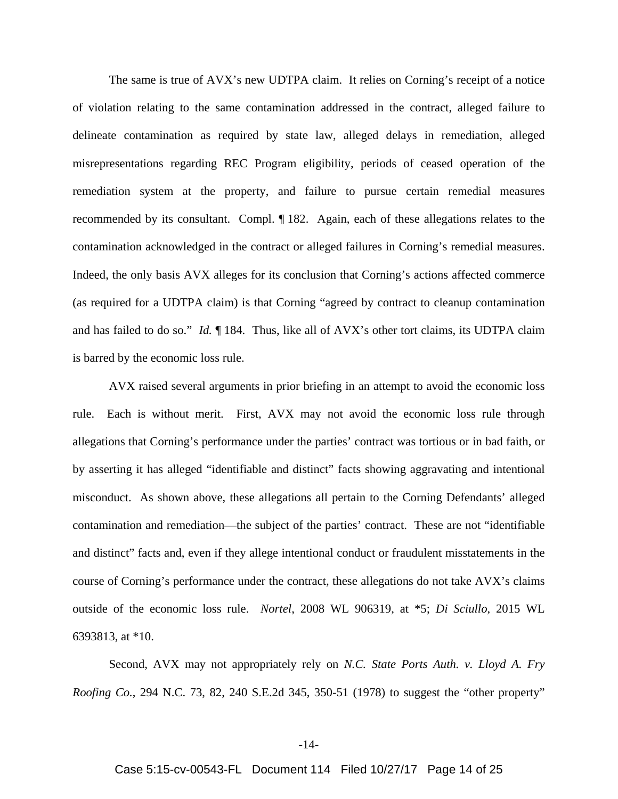The same is true of AVX's new UDTPA claim. It relies on Corning's receipt of a notice of violation relating to the same contamination addressed in the contract, alleged failure to delineate contamination as required by state law, alleged delays in remediation, alleged misrepresentations regarding REC Program eligibility, periods of ceased operation of the remediation system at the property, and failure to pursue certain remedial measures recommended by its consultant. Compl. ¶ 182. Again, each of these allegations relates to the contamination acknowledged in the contract or alleged failures in Corning's remedial measures. Indeed, the only basis AVX alleges for its conclusion that Corning's actions affected commerce (as required for a UDTPA claim) is that Corning "agreed by contract to cleanup contamination and has failed to do so." *Id.* ¶ 184. Thus, like all of AVX's other tort claims, its UDTPA claim is barred by the economic loss rule.

AVX raised several arguments in prior briefing in an attempt to avoid the economic loss rule. Each is without merit. First, AVX may not avoid the economic loss rule through allegations that Corning's performance under the parties' contract was tortious or in bad faith, or by asserting it has alleged "identifiable and distinct" facts showing aggravating and intentional misconduct. As shown above, these allegations all pertain to the Corning Defendants' alleged contamination and remediation—the subject of the parties' contract. These are not "identifiable and distinct" facts and, even if they allege intentional conduct or fraudulent misstatements in the course of Corning's performance under the contract, these allegations do not take AVX's claims outside of the economic loss rule. *Nortel*, 2008 WL 906319, at \*5; *Di Sciullo*, 2015 WL 6393813, at \*10.

Second, AVX may not appropriately rely on *N.C. State Ports Auth. v. Lloyd A. Fry Roofing Co.*, 294 N.C. 73, 82, 240 S.E.2d 345, 350-51 (1978) to suggest the "other property"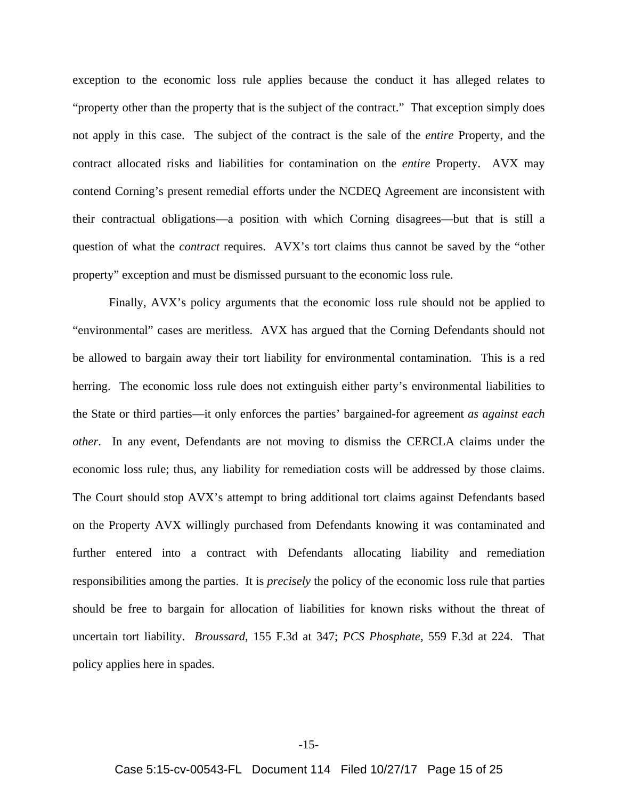exception to the economic loss rule applies because the conduct it has alleged relates to "property other than the property that is the subject of the contract." That exception simply does not apply in this case. The subject of the contract is the sale of the *entire* Property, and the contract allocated risks and liabilities for contamination on the *entire* Property. AVX may contend Corning's present remedial efforts under the NCDEQ Agreement are inconsistent with their contractual obligations—a position with which Corning disagrees—but that is still a question of what the *contract* requires. AVX's tort claims thus cannot be saved by the "other property" exception and must be dismissed pursuant to the economic loss rule.

Finally, AVX's policy arguments that the economic loss rule should not be applied to "environmental" cases are meritless. AVX has argued that the Corning Defendants should not be allowed to bargain away their tort liability for environmental contamination. This is a red herring. The economic loss rule does not extinguish either party's environmental liabilities to the State or third parties—it only enforces the parties' bargained-for agreement *as against each other*. In any event, Defendants are not moving to dismiss the CERCLA claims under the economic loss rule; thus, any liability for remediation costs will be addressed by those claims. The Court should stop AVX's attempt to bring additional tort claims against Defendants based on the Property AVX willingly purchased from Defendants knowing it was contaminated and further entered into a contract with Defendants allocating liability and remediation responsibilities among the parties. It is *precisely* the policy of the economic loss rule that parties should be free to bargain for allocation of liabilities for known risks without the threat of uncertain tort liability. *Broussard*, 155 F.3d at 347; *PCS Phosphate*, 559 F.3d at 224. That policy applies here in spades.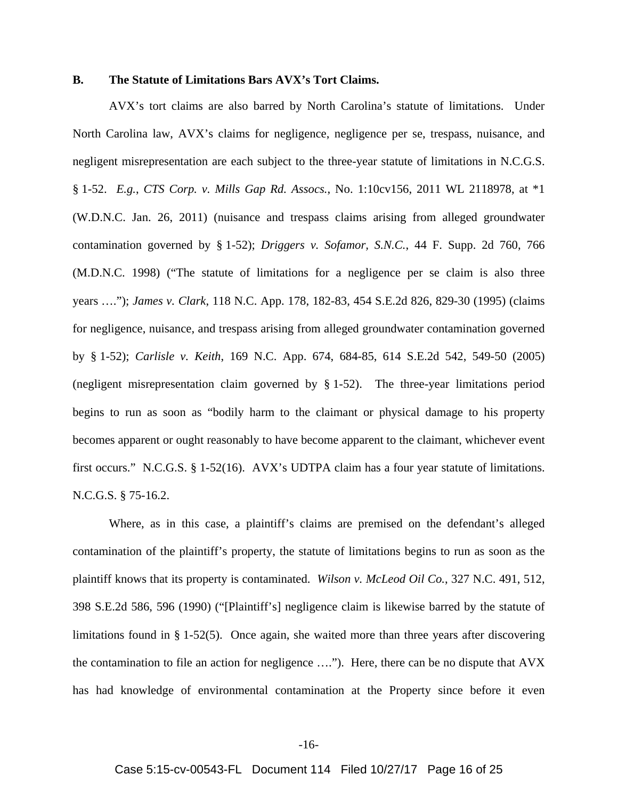## **B. The Statute of Limitations Bars AVX's Tort Claims.**

AVX's tort claims are also barred by North Carolina's statute of limitations. Under North Carolina law, AVX's claims for negligence, negligence per se, trespass, nuisance, and negligent misrepresentation are each subject to the three-year statute of limitations in N.C.G.S. § 1-52. *E.g.*, *CTS Corp. v. Mills Gap Rd. Assocs.*, No. 1:10cv156, 2011 WL 2118978, at \*1 (W.D.N.C. Jan. 26, 2011) (nuisance and trespass claims arising from alleged groundwater contamination governed by § 1-52); *Driggers v. Sofamor, S.N.C.*, 44 F. Supp. 2d 760, 766 (M.D.N.C. 1998) ("The statute of limitations for a negligence per se claim is also three years …."); *James v. Clark*, 118 N.C. App. 178, 182-83, 454 S.E.2d 826, 829-30 (1995) (claims for negligence, nuisance, and trespass arising from alleged groundwater contamination governed by § 1-52); *Carlisle v. Keith*, 169 N.C. App. 674, 684-85, 614 S.E.2d 542, 549-50 (2005) (negligent misrepresentation claim governed by § 1-52). The three-year limitations period begins to run as soon as "bodily harm to the claimant or physical damage to his property becomes apparent or ought reasonably to have become apparent to the claimant, whichever event first occurs." N.C.G.S. § 1-52(16). AVX's UDTPA claim has a four year statute of limitations. N.C.G.S. § 75-16.2.

Where, as in this case, a plaintiff's claims are premised on the defendant's alleged contamination of the plaintiff's property, the statute of limitations begins to run as soon as the plaintiff knows that its property is contaminated. *Wilson v. McLeod Oil Co.*, 327 N.C. 491, 512, 398 S.E.2d 586, 596 (1990) ("[Plaintiff's] negligence claim is likewise barred by the statute of limitations found in § 1-52(5). Once again, she waited more than three years after discovering the contamination to file an action for negligence …."). Here, there can be no dispute that AVX has had knowledge of environmental contamination at the Property since before it even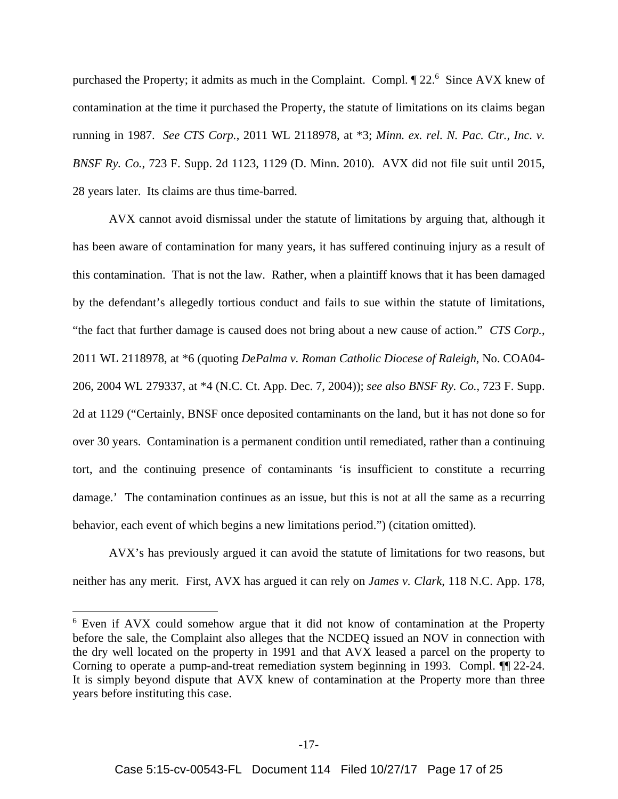purchased the Property; it admits as much in the Complaint. Compl.  $\S$  22.<sup>6</sup> Since AVX knew of contamination at the time it purchased the Property, the statute of limitations on its claims began running in 1987. *See CTS Corp.*, 2011 WL 2118978, at \*3; *Minn. ex. rel. N. Pac. Ctr., Inc. v. BNSF Ry. Co.*, 723 F. Supp. 2d 1123, 1129 (D. Minn. 2010). AVX did not file suit until 2015, 28 years later. Its claims are thus time-barred.

AVX cannot avoid dismissal under the statute of limitations by arguing that, although it has been aware of contamination for many years, it has suffered continuing injury as a result of this contamination. That is not the law. Rather, when a plaintiff knows that it has been damaged by the defendant's allegedly tortious conduct and fails to sue within the statute of limitations, "the fact that further damage is caused does not bring about a new cause of action." *CTS Corp.*, 2011 WL 2118978, at \*6 (quoting *DePalma v. Roman Catholic Diocese of Raleigh*, No. COA04- 206, 2004 WL 279337, at \*4 (N.C. Ct. App. Dec. 7, 2004)); *see also BNSF Ry. Co.*, 723 F. Supp. 2d at 1129 ("Certainly, BNSF once deposited contaminants on the land, but it has not done so for over 30 years. Contamination is a permanent condition until remediated, rather than a continuing tort, and the continuing presence of contaminants 'is insufficient to constitute a recurring damage.' The contamination continues as an issue, but this is not at all the same as a recurring behavior, each event of which begins a new limitations period.") (citation omitted).

AVX's has previously argued it can avoid the statute of limitations for two reasons, but neither has any merit. First, AVX has argued it can rely on *James v. Clark*, 118 N.C. App. 178,

1

<sup>&</sup>lt;sup>6</sup> Even if AVX could somehow argue that it did not know of contamination at the Property before the sale, the Complaint also alleges that the NCDEQ issued an NOV in connection with the dry well located on the property in 1991 and that AVX leased a parcel on the property to Corning to operate a pump-and-treat remediation system beginning in 1993. Compl. ¶¶ 22-24. It is simply beyond dispute that AVX knew of contamination at the Property more than three years before instituting this case.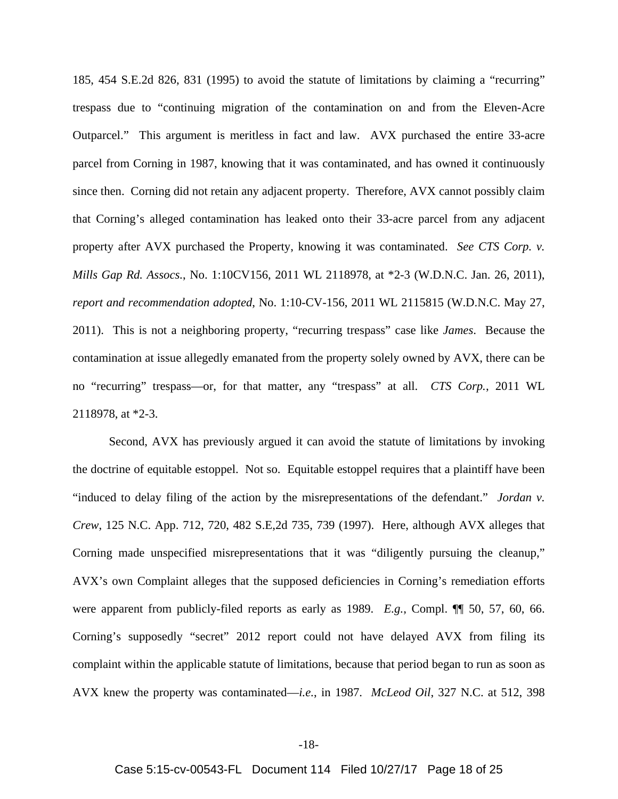185, 454 S.E.2d 826, 831 (1995) to avoid the statute of limitations by claiming a "recurring" trespass due to "continuing migration of the contamination on and from the Eleven-Acre Outparcel." This argument is meritless in fact and law. AVX purchased the entire 33-acre parcel from Corning in 1987, knowing that it was contaminated, and has owned it continuously since then. Corning did not retain any adjacent property. Therefore, AVX cannot possibly claim that Corning's alleged contamination has leaked onto their 33-acre parcel from any adjacent property after AVX purchased the Property, knowing it was contaminated. *See CTS Corp. v. Mills Gap Rd. Assocs.*, No. 1:10CV156, 2011 WL 2118978, at \*2-3 (W.D.N.C. Jan. 26, 2011), *report and recommendation adopted*, No. 1:10-CV-156, 2011 WL 2115815 (W.D.N.C. May 27, 2011). This is not a neighboring property, "recurring trespass" case like *James*. Because the contamination at issue allegedly emanated from the property solely owned by AVX, there can be no "recurring" trespass—or, for that matter, any "trespass" at all. *CTS Corp.*, 2011 WL 2118978, at \*2-3.

Second, AVX has previously argued it can avoid the statute of limitations by invoking the doctrine of equitable estoppel. Not so. Equitable estoppel requires that a plaintiff have been "induced to delay filing of the action by the misrepresentations of the defendant." *Jordan v. Crew*, 125 N.C. App. 712, 720, 482 S.E,2d 735, 739 (1997). Here, although AVX alleges that Corning made unspecified misrepresentations that it was "diligently pursuing the cleanup," AVX's own Complaint alleges that the supposed deficiencies in Corning's remediation efforts were apparent from publicly-filed reports as early as 1989. *E.g.*, Compl. ¶¶ 50, 57, 60, 66. Corning's supposedly "secret" 2012 report could not have delayed AVX from filing its complaint within the applicable statute of limitations, because that period began to run as soon as AVX knew the property was contaminated—*i.e.*, in 1987. *McLeod Oil*, 327 N.C. at 512, 398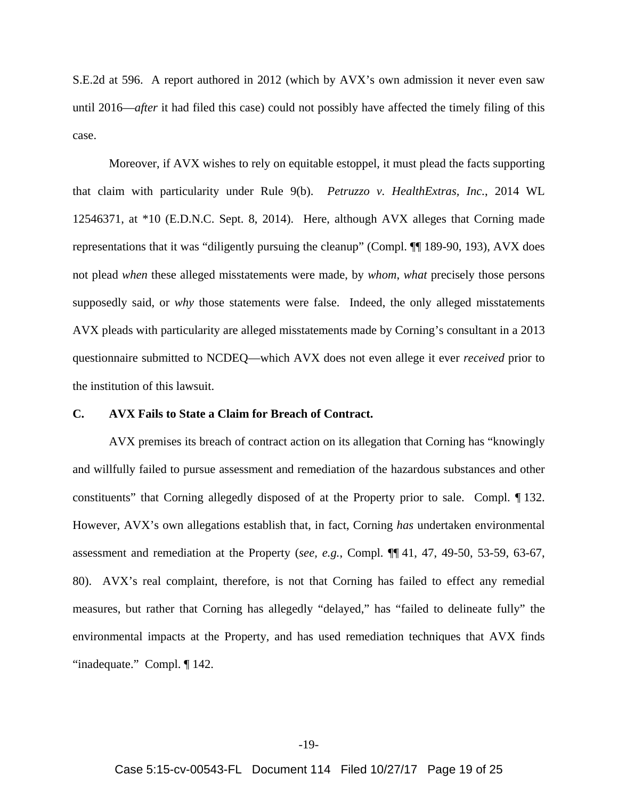S.E.2d at 596. A report authored in 2012 (which by AVX's own admission it never even saw until 2016—*after* it had filed this case) could not possibly have affected the timely filing of this case.

Moreover, if AVX wishes to rely on equitable estoppel, it must plead the facts supporting that claim with particularity under Rule 9(b). *Petruzzo v. HealthExtras, Inc.*, 2014 WL 12546371, at \*10 (E.D.N.C. Sept. 8, 2014). Here, although AVX alleges that Corning made representations that it was "diligently pursuing the cleanup" (Compl. ¶¶ 189-90, 193), AVX does not plead *when* these alleged misstatements were made, by *whom*, *what* precisely those persons supposedly said, or *why* those statements were false. Indeed, the only alleged misstatements AVX pleads with particularity are alleged misstatements made by Corning's consultant in a 2013 questionnaire submitted to NCDEQ—which AVX does not even allege it ever *received* prior to the institution of this lawsuit.

## **C. AVX Fails to State a Claim for Breach of Contract.**

AVX premises its breach of contract action on its allegation that Corning has "knowingly and willfully failed to pursue assessment and remediation of the hazardous substances and other constituents" that Corning allegedly disposed of at the Property prior to sale. Compl. ¶ 132. However, AVX's own allegations establish that, in fact, Corning *has* undertaken environmental assessment and remediation at the Property (*see, e.g.*, Compl. ¶¶ 41, 47, 49-50, 53-59, 63-67, 80). AVX's real complaint, therefore, is not that Corning has failed to effect any remedial measures, but rather that Corning has allegedly "delayed," has "failed to delineate fully" the environmental impacts at the Property, and has used remediation techniques that AVX finds "inadequate." Compl. ¶ 142.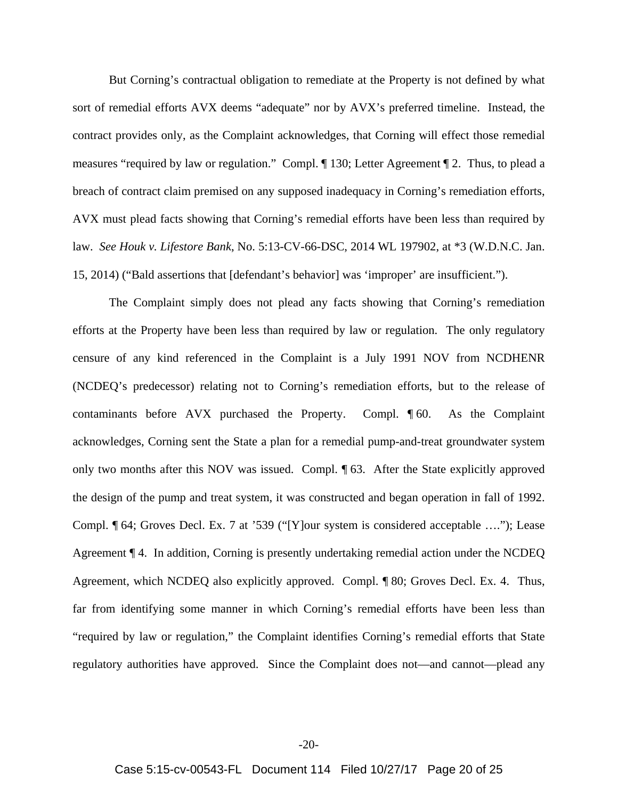But Corning's contractual obligation to remediate at the Property is not defined by what sort of remedial efforts AVX deems "adequate" nor by AVX's preferred timeline. Instead, the contract provides only, as the Complaint acknowledges, that Corning will effect those remedial measures "required by law or regulation." Compl. ¶ 130; Letter Agreement ¶ 2. Thus, to plead a breach of contract claim premised on any supposed inadequacy in Corning's remediation efforts, AVX must plead facts showing that Corning's remedial efforts have been less than required by law. *See Houk v. Lifestore Bank*, No. 5:13-CV-66-DSC, 2014 WL 197902, at \*3 (W.D.N.C. Jan. 15, 2014) ("Bald assertions that [defendant's behavior] was 'improper' are insufficient.").

The Complaint simply does not plead any facts showing that Corning's remediation efforts at the Property have been less than required by law or regulation. The only regulatory censure of any kind referenced in the Complaint is a July 1991 NOV from NCDHENR (NCDEQ's predecessor) relating not to Corning's remediation efforts, but to the release of contaminants before AVX purchased the Property. Compl. ¶ 60. As the Complaint acknowledges, Corning sent the State a plan for a remedial pump-and-treat groundwater system only two months after this NOV was issued. Compl. ¶ 63. After the State explicitly approved the design of the pump and treat system, it was constructed and began operation in fall of 1992. Compl. ¶ 64; Groves Decl. Ex. 7 at '539 ("[Y]our system is considered acceptable …."); Lease Agreement ¶ 4. In addition, Corning is presently undertaking remedial action under the NCDEQ Agreement, which NCDEQ also explicitly approved. Compl. ¶ 80; Groves Decl. Ex. 4. Thus, far from identifying some manner in which Corning's remedial efforts have been less than "required by law or regulation," the Complaint identifies Corning's remedial efforts that State regulatory authorities have approved. Since the Complaint does not—and cannot—plead any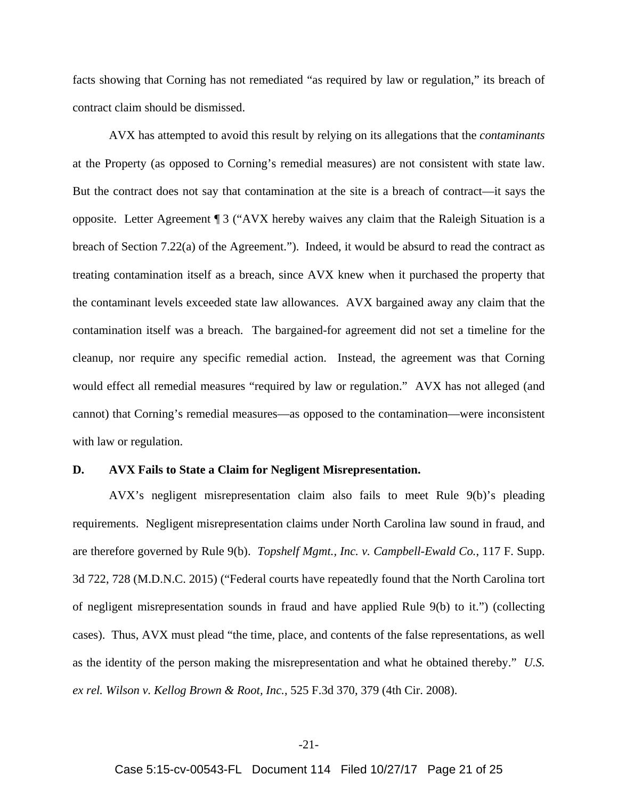facts showing that Corning has not remediated "as required by law or regulation," its breach of contract claim should be dismissed.

AVX has attempted to avoid this result by relying on its allegations that the *contaminants* at the Property (as opposed to Corning's remedial measures) are not consistent with state law. But the contract does not say that contamination at the site is a breach of contract—it says the opposite. Letter Agreement ¶ 3 ("AVX hereby waives any claim that the Raleigh Situation is a breach of Section 7.22(a) of the Agreement."). Indeed, it would be absurd to read the contract as treating contamination itself as a breach, since AVX knew when it purchased the property that the contaminant levels exceeded state law allowances. AVX bargained away any claim that the contamination itself was a breach. The bargained-for agreement did not set a timeline for the cleanup, nor require any specific remedial action. Instead, the agreement was that Corning would effect all remedial measures "required by law or regulation." AVX has not alleged (and cannot) that Corning's remedial measures—as opposed to the contamination—were inconsistent with law or regulation.

#### **D. AVX Fails to State a Claim for Negligent Misrepresentation.**

AVX's negligent misrepresentation claim also fails to meet Rule 9(b)'s pleading requirements. Negligent misrepresentation claims under North Carolina law sound in fraud, and are therefore governed by Rule 9(b). *Topshelf Mgmt., Inc. v. Campbell-Ewald Co.*, 117 F. Supp. 3d 722, 728 (M.D.N.C. 2015) ("Federal courts have repeatedly found that the North Carolina tort of negligent misrepresentation sounds in fraud and have applied Rule 9(b) to it.") (collecting cases). Thus, AVX must plead "the time, place, and contents of the false representations, as well as the identity of the person making the misrepresentation and what he obtained thereby." *U.S. ex rel. Wilson v. Kellog Brown & Root, Inc.*, 525 F.3d 370, 379 (4th Cir. 2008).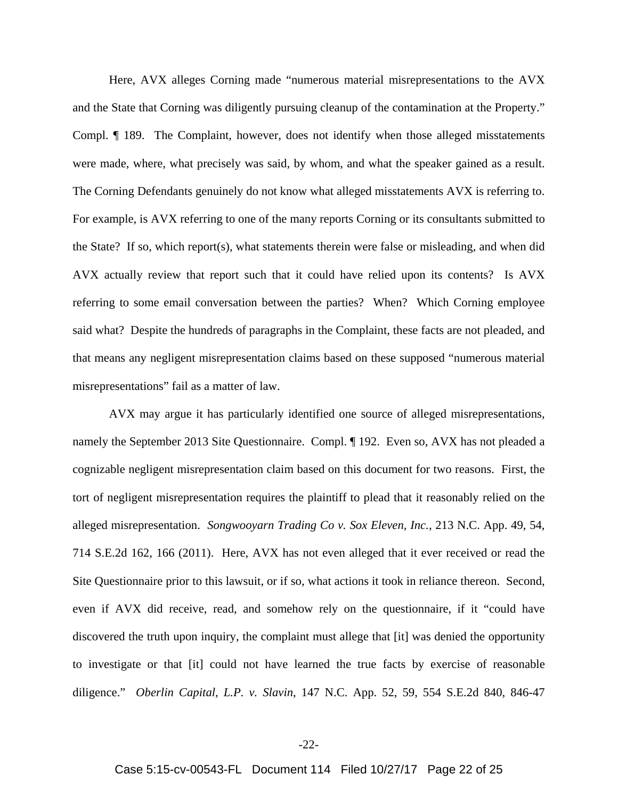Here, AVX alleges Corning made "numerous material misrepresentations to the AVX and the State that Corning was diligently pursuing cleanup of the contamination at the Property." Compl. ¶ 189. The Complaint, however, does not identify when those alleged misstatements were made, where, what precisely was said, by whom, and what the speaker gained as a result. The Corning Defendants genuinely do not know what alleged misstatements AVX is referring to. For example, is AVX referring to one of the many reports Corning or its consultants submitted to the State? If so, which report(s), what statements therein were false or misleading, and when did AVX actually review that report such that it could have relied upon its contents? Is AVX referring to some email conversation between the parties? When? Which Corning employee said what? Despite the hundreds of paragraphs in the Complaint, these facts are not pleaded, and that means any negligent misrepresentation claims based on these supposed "numerous material misrepresentations" fail as a matter of law.

AVX may argue it has particularly identified one source of alleged misrepresentations, namely the September 2013 Site Questionnaire. Compl. ¶ 192. Even so, AVX has not pleaded a cognizable negligent misrepresentation claim based on this document for two reasons. First, the tort of negligent misrepresentation requires the plaintiff to plead that it reasonably relied on the alleged misrepresentation. *Songwooyarn Trading Co v. Sox Eleven, Inc.*, 213 N.C. App. 49, 54, 714 S.E.2d 162, 166 (2011).Here, AVX has not even alleged that it ever received or read the Site Questionnaire prior to this lawsuit, or if so, what actions it took in reliance thereon. Second, even if AVX did receive, read, and somehow rely on the questionnaire, if it "could have discovered the truth upon inquiry, the complaint must allege that [it] was denied the opportunity to investigate or that [it] could not have learned the true facts by exercise of reasonable diligence." *Oberlin Capital, L.P. v. Slavin*, 147 N.C. App. 52, 59, 554 S.E.2d 840, 846-47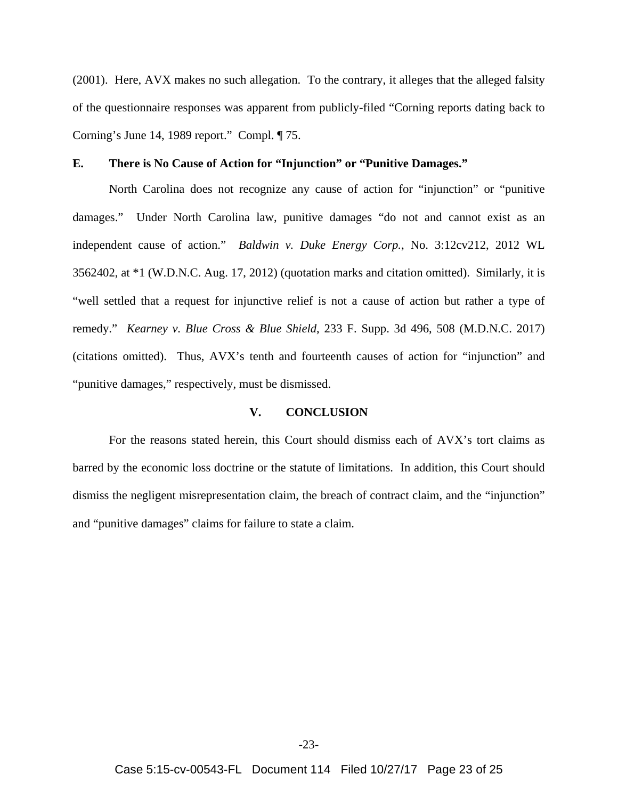(2001). Here, AVX makes no such allegation. To the contrary, it alleges that the alleged falsity of the questionnaire responses was apparent from publicly-filed "Corning reports dating back to Corning's June 14, 1989 report." Compl. ¶ 75.

## **E. There is No Cause of Action for "Injunction" or "Punitive Damages."**

North Carolina does not recognize any cause of action for "injunction" or "punitive damages." Under North Carolina law, punitive damages "do not and cannot exist as an independent cause of action." *Baldwin v. Duke Energy Corp.*, No. 3:12cv212, 2012 WL 3562402, at \*1 (W.D.N.C. Aug. 17, 2012) (quotation marks and citation omitted). Similarly, it is "well settled that a request for injunctive relief is not a cause of action but rather a type of remedy." *Kearney v. Blue Cross & Blue Shield*, 233 F. Supp. 3d 496, 508 (M.D.N.C. 2017) (citations omitted). Thus, AVX's tenth and fourteenth causes of action for "injunction" and "punitive damages," respectively, must be dismissed.

## **V. CONCLUSION**

For the reasons stated herein, this Court should dismiss each of AVX's tort claims as barred by the economic loss doctrine or the statute of limitations. In addition, this Court should dismiss the negligent misrepresentation claim, the breach of contract claim, and the "injunction" and "punitive damages" claims for failure to state a claim.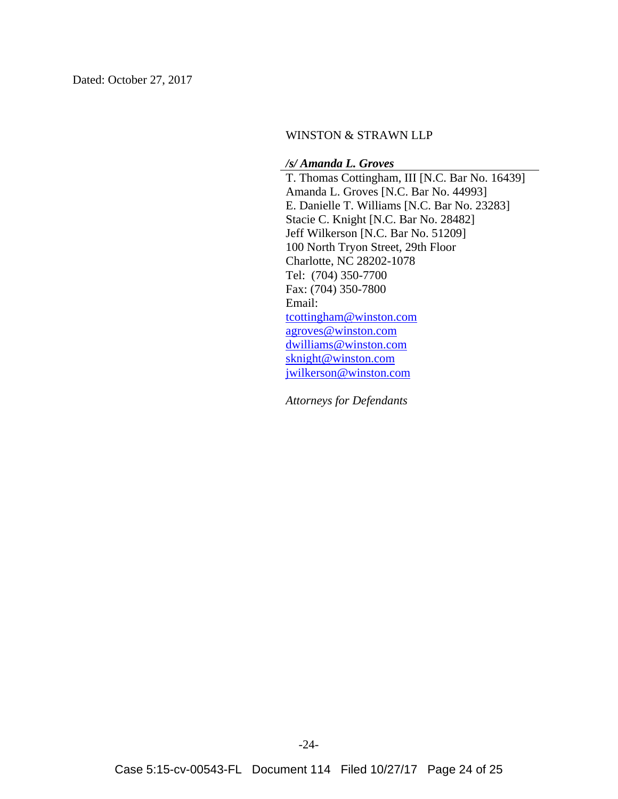## WINSTON & STRAWN LLP

#### */s/ Amanda L. Groves*

T. Thomas Cottingham, III [N.C. Bar No. 16439] Amanda L. Groves [N.C. Bar No. 44993] E. Danielle T. Williams [N.C. Bar No. 23283] Stacie C. Knight [N.C. Bar No. 28482] Jeff Wilkerson [N.C. Bar No. 51209] 100 North Tryon Street, 29th Floor Charlotte, NC 28202-1078 Tel: (704) 350-7700 Fax: (704) 350-7800 Email: tcottingham@winston.com agroves@winston.com dwilliams@winston.com sknight@winston.com jwilkerson@winston.com

*Attorneys for Defendants*